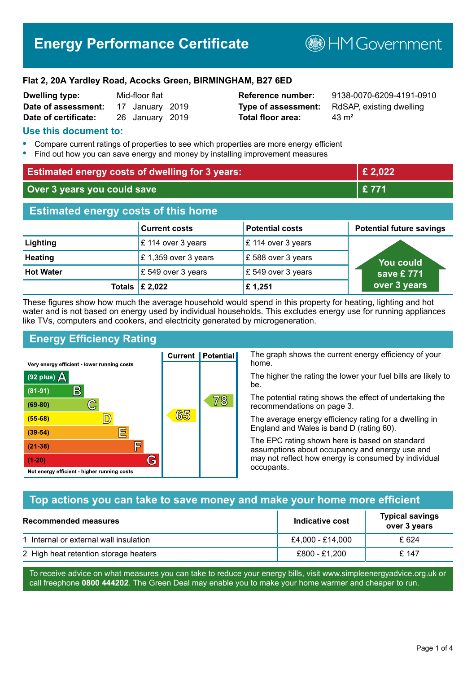# **Energy Performance Certificate**

**B**HMGovernment

#### **Flat 2, 20A Yardley Road, Acocks Green, BIRMINGHAM, B27 6ED**

| <b>Dwelling type:</b> | Mid-floor flat |                 |  |
|-----------------------|----------------|-----------------|--|
| Date of assessment:   |                | 17 January 2019 |  |
| Date of certificate:  |                | 26 January 2019 |  |

# **Total floor area:** 43 m<sup>2</sup>

**Reference number:** 9138-0070-6209-4191-0910 **Type of assessment:** RdSAP, existing dwelling

#### **Use this document to:**

- **•** Compare current ratings of properties to see which properties are more energy efficient
- **•** Find out how you can save energy and money by installing improvement measures

| <b>Estimated energy costs of dwelling for 3 years:</b> |                           |                        | £ 2,022                         |
|--------------------------------------------------------|---------------------------|------------------------|---------------------------------|
| Over 3 years you could save                            |                           |                        | £771                            |
| <b>Estimated energy costs of this home</b>             |                           |                        |                                 |
|                                                        | <b>Current costs</b>      | <b>Potential costs</b> | <b>Potential future savings</b> |
| Lighting                                               | £ 114 over 3 years        | £ 114 over 3 years     |                                 |
| <b>Heating</b>                                         | £1,359 over 3 years       | £588 over 3 years      | <b>You could</b>                |
| <b>Hot Water</b>                                       | £ 549 over 3 years        | £ 549 over 3 years     | save £ 771                      |
|                                                        | Totals $\mathsf{E}$ 2,022 | £1,251                 | over 3 years                    |

These figures show how much the average household would spend in this property for heating, lighting and hot water and is not based on energy used by individual households. This excludes energy use for running appliances like TVs, computers and cookers, and electricity generated by microgeneration.

**Current | Potential** 

65

# **Energy Efficiency Rating**

 $\mathbb{C}$ 

 $\mathbb{D}$ 

E

庐

G

Very energy efficient - lower running costs

R

Not energy efficient - higher running costs

(92 plus)  $\Delta$ 

 $(81 - 91)$ 

 $(69 - 80)$ 

 $(55-68)$  $(39-54)$ 

 $(21-38)$ 

 $(1-20)$ 

The graph shows the current energy efficiency of your home.

The higher the rating the lower your fuel bills are likely to be.

The potential rating shows the effect of undertaking the recommendations on page 3.

The average energy efficiency rating for a dwelling in England and Wales is band D (rating 60).

The EPC rating shown here is based on standard assumptions about occupancy and energy use and may not reflect how energy is consumed by individual occupants.

## **Top actions you can take to save money and make your home more efficient**

78

| <b>Recommended measures</b>            | Indicative cost  | <b>Typical savings</b><br>over 3 years |
|----------------------------------------|------------------|----------------------------------------|
| 1 Internal or external wall insulation | £4,000 - £14,000 | £ 624                                  |
| 2 High heat retention storage heaters  | £800 - £1,200    | £ 147                                  |

To receive advice on what measures you can take to reduce your energy bills, visit www.simpleenergyadvice.org.uk or call freephone **0800 444202**. The Green Deal may enable you to make your home warmer and cheaper to run.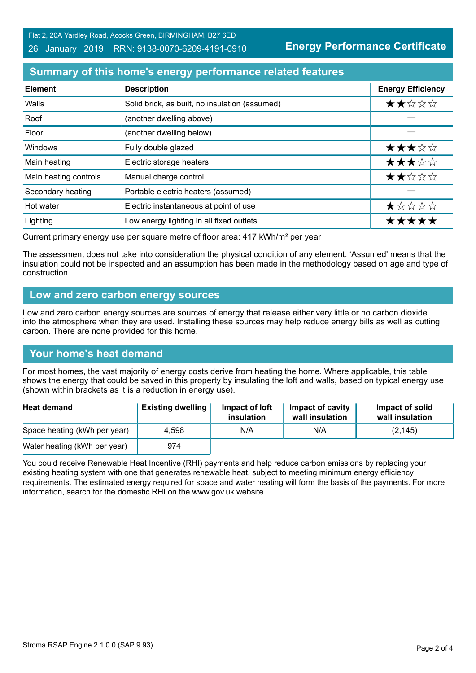Flat 2, 20A Yardley Road, Acocks Green, BIRMINGHAM, B27 6ED

#### 26 January 2019 RRN: 9138-0070-6209-4191-0910

**Energy Performance Certificate**

# **Summary of this home's energy performance related features**

| <b>Element</b>        | <b>Description</b>                             | <b>Energy Efficiency</b> |
|-----------------------|------------------------------------------------|--------------------------|
| Walls                 | Solid brick, as built, no insulation (assumed) | ★★☆☆☆                    |
| Roof                  | (another dwelling above)                       |                          |
| Floor                 | (another dwelling below)                       |                          |
| Windows               | Fully double glazed                            | ★★★☆☆                    |
| Main heating          | Electric storage heaters                       | ★★★☆☆                    |
| Main heating controls | Manual charge control                          | ★★☆☆☆                    |
| Secondary heating     | Portable electric heaters (assumed)            |                          |
| Hot water             | Electric instantaneous at point of use         | ★☆☆☆☆                    |
| Lighting              | Low energy lighting in all fixed outlets       | *****                    |

Current primary energy use per square metre of floor area: 417 kWh/m² per year

The assessment does not take into consideration the physical condition of any element. 'Assumed' means that the insulation could not be inspected and an assumption has been made in the methodology based on age and type of construction.

#### **Low and zero carbon energy sources**

Low and zero carbon energy sources are sources of energy that release either very little or no carbon dioxide into the atmosphere when they are used. Installing these sources may help reduce energy bills as well as cutting carbon. There are none provided for this home.

## **Your home's heat demand**

For most homes, the vast majority of energy costs derive from heating the home. Where applicable, this table shows the energy that could be saved in this property by insulating the loft and walls, based on typical energy use (shown within brackets as it is a reduction in energy use).

| <b>Heat demand</b>           | <b>Existing dwelling</b> | Impact of loft<br>insulation | Impact of cavity<br>wall insulation | Impact of solid<br>wall insulation |
|------------------------------|--------------------------|------------------------------|-------------------------------------|------------------------------------|
| Space heating (kWh per year) | 4.598                    | N/A                          | N/A                                 | (2, 145)                           |
| Water heating (kWh per year) | 974                      |                              |                                     |                                    |

You could receive Renewable Heat Incentive (RHI) payments and help reduce carbon emissions by replacing your existing heating system with one that generates renewable heat, subject to meeting minimum energy efficiency requirements. The estimated energy required for space and water heating will form the basis of the payments. For more information, search for the domestic RHI on the www.gov.uk website.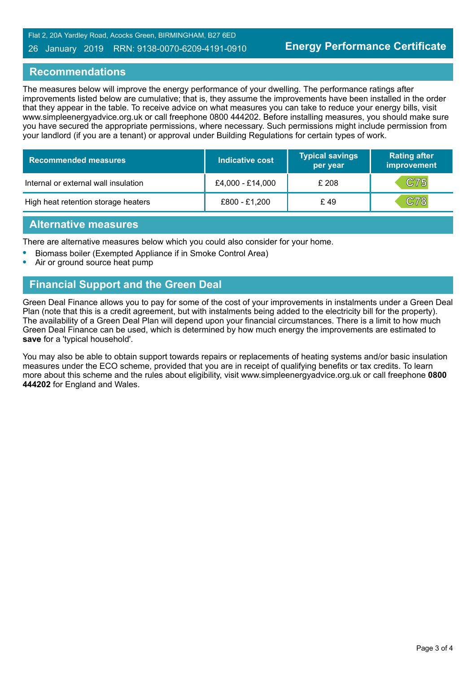Flat 2, 20A Yardley Road, Acocks Green, BIRMINGHAM, B27 6ED

#### 26 January 2019 RRN: 9138-0070-6209-4191-0910

#### **Recommendations**

The measures below will improve the energy performance of your dwelling. The performance ratings after improvements listed below are cumulative; that is, they assume the improvements have been installed in the order that they appear in the table. To receive advice on what measures you can take to reduce your energy bills, visit www.simpleenergyadvice.org.uk or call freephone 0800 444202. Before installing measures, you should make sure you have secured the appropriate permissions, where necessary. Such permissions might include permission from your landlord (if you are a tenant) or approval under Building Regulations for certain types of work.

| <b>Recommended measures</b>          | Indicative cost  | <b>Typical savings</b><br>per year | <b>Rating after</b><br>improvement |
|--------------------------------------|------------------|------------------------------------|------------------------------------|
| Internal or external wall insulation | £4,000 - £14,000 | £ 208                              | C75                                |
| High heat retention storage heaters  | £800 - £1,200    | £49                                | <b>C78</b>                         |

#### **Alternative measures**

There are alternative measures below which you could also consider for your home.

- **•** Biomass boiler (Exempted Appliance if in Smoke Control Area)
- **•** Air or ground source heat pump

## **Financial Support and the Green Deal**

Green Deal Finance allows you to pay for some of the cost of your improvements in instalments under a Green Deal Plan (note that this is a credit agreement, but with instalments being added to the electricity bill for the property). The availability of a Green Deal Plan will depend upon your financial circumstances. There is a limit to how much Green Deal Finance can be used, which is determined by how much energy the improvements are estimated to **save** for a 'typical household'.

You may also be able to obtain support towards repairs or replacements of heating systems and/or basic insulation measures under the ECO scheme, provided that you are in receipt of qualifying benefits or tax credits. To learn more about this scheme and the rules about eligibility, visit www.simpleenergyadvice.org.uk or call freephone **0800 444202** for England and Wales.